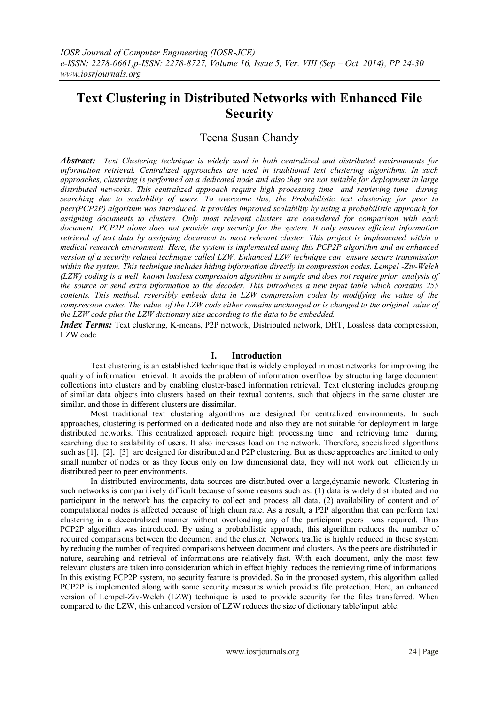# **Text Clustering in Distributed Networks with Enhanced File Security**

# Teena Susan Chandy

*Abstract:**Text Clustering technique is widely used in both centralized and distributed environments for information retrieval. Centralized approaches are used in traditional text clustering algorithms. In such approaches, clustering is performed on a dedicated node and also they are not suitable for deployment in large distributed networks. This centralized approach require high processing time and retrieving time during searching due to scalability of users. To overcome this, the Probabilistic text clustering for peer to peer(PCP2P) algorithm was introduced. It provides improved scalability by using a probabilistic approach for assigning documents to clusters. Only most relevant clusters are considered for comparison with each document. PCP2P alone does not provide any security for the system. It only ensures efficient information retrieval of text data by assigning document to most relevant cluster. This project is implemented within a medical research environment. Here, the system is implemented using this PCP2P algorithm and an enhanced version of a security related technique called LZW. Enhanced LZW technique can ensure secure transmission within the system. This technique includes hiding information directly in compression codes. Lempel -Ziv-Welch (LZW) coding is a well known lossless compression algorithm is simple and does not require prior analysis of the source or send extra information to the decoder. This introduces a new input table which contains 255 contents. This method, reversibly embeds data in LZW compression codes by modifying the value of the compression codes. The value of the LZW code either remains unchanged or is changed to the original value of the LZW code plus the LZW dictionary size according to the data to be embedded.*

*Index Terms:* Text clustering, K-means, P2P network, Distributed network, DHT, Lossless data compression, LZW code

#### **I. Introduction**

Text clustering is an established technique that is widely employed in most networks for improving the quality of information retrieval. It avoids the problem of information overflow by structuring large document collections into clusters and by enabling cluster-based information retrieval. Text clustering includes grouping of similar data objects into clusters based on their textual contents, such that objects in the same cluster are similar, and those in different clusters are dissimilar.

Most traditional text clustering algorithms are designed for centralized environments. In such approaches, clustering is performed on a dedicated node and also they are not suitable for deployment in large distributed networks. This centralized approach require high processing time and retrieving time during searching due to scalability of users. It also increases load on the network. Therefore, specialized algorithms such as [1], [2], [3] are designed for distributed and P2P clustering. But as these approaches are limited to only small number of nodes or as they focus only on low dimensional data, they will not work out efficiently in distributed peer to peer environments.

In distributed environments, data sources are distributed over a large,dynamic nework. Clustering in such networks is comparitively difficult because of some reasons such as: (1) data is widely distributed and no participant in the network has the capacity to collect and process all data. (2) availability of content and of computational nodes is affected because of high churn rate. As a result, a P2P algorithm that can perform text clustering in a decentralized manner without overloading any of the participant peers was required. Thus PCP2P algorithm was introduced. By using a probabilistic approach, this algorithm reduces the number of required comparisons between the document and the cluster. Network traffic is highly reduced in these system by reducing the number of required comparisons between document and clusters. As the peers are distributed in nature, searching and retrieval of informations are relatively fast. With each document, only the most few relevant clusters are taken into consideration which in effect highly reduces the retrieving time of informations. In this existing PCP2P system, no security feature is provided. So in the proposed system, this algorithm called PCP2P is implemented along with some security measures which provides file protection. Here, an enhanced version of Lempel-Ziv-Welch (LZW) technique is used to provide security for the files transferred. When compared to the LZW, this enhanced version of LZW reduces the size of dictionary table/input table.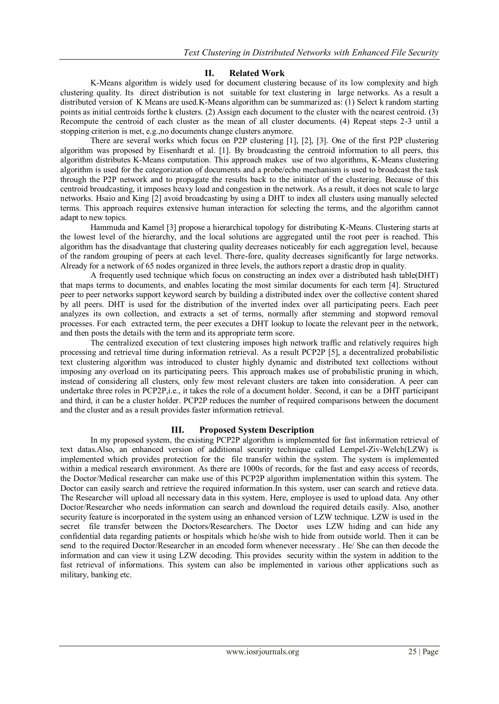## **II. Related Work**

K-Means algorithm is widely used for document clustering because of its low complexity and high clustering quality. Its direct distribution is not suitable for text clustering in large networks. As a result a distributed version of K Means are used.K-Means algorithm can be summarized as: (1) Select k random starting points as initial centroids forthe k clusters. (2) Assign each document to the cluster with the nearest centroid. (3) Recompute the centroid of each cluster as the mean of all cluster documents. (4) Repeat steps 2-3 until a stopping criterion is met, e.g.,no documents change clusters anymore.

There are several works which focus on P2P clustering [1], [2], [3]. One of the first P2P clustering algorithm was proposed by Eisenhardt et al. [1]. By broadcasting the centroid information to all peers, this algorithm distributes K-Means computation. This approach makes use of two algorithms, K-Means clustering algorithm is used for the categorization of documents and a probe/echo mechanism is used to broadcast the task through the P2P network and to propagate the results back to the initiator of the clustering. Because of this centroid broadcasting, it imposes heavy load and congestion in the network. As a result, it does not scale to large networks. Hsaio and King [2] avoid broadcasting by using a DHT to index all clusters using manually selected terms. This approach requires extensive human interaction for selecting the terms, and the algorithm cannot adapt to new topics.

Hammuda and Kamel [3] propose a hierarchical topology for distributing K-Means. Clustering starts at the lowest level of the hierarchy, and the local solutions are aggregated until the root peer is reached. This algorithm has the disadvantage that clustering quality decreases noticeably for each aggregation level, because of the random grouping of peers at each level. There-fore, quality decreases significantly for large networks. Already for a network of 65 nodes organized in three levels, the authors report a drastic drop in quality.

A frequently used technique which focus on constructing an index over a distributed hash table(DHT) that maps terms to documents, and enables locating the most similar documents for each term [4]. Structured peer to peer networks support keyword search by building a distributed index over the collective content shared by all peers. DHT is used for the distribution of the inverted index over all participating peers. Each peer analyzes its own collection, and extracts a set of terms, normally after stemming and stopword removal processes. For each extracted term, the peer executes a DHT lookup to locate the relevant peer in the network, and then posts the details with the term and its appropriate term score.

The centralized execution of text clustering imposes high network traffic and relatively requires high processing and retrieval time during information retrieval. As a result PCP2P [5], a decentralized probabilistic text clustering algorithm was introduced to cluster highly dynamic and distributed text collections without imposing any overload on its participating peers. This approach makes use of probabilistic pruning in which, instead of considering all clusters, only few most relevant clusters are taken into consideration. A peer can undertake three roles in PCP2P,i.e., it takes the role of a document holder. Second, it can be a DHT participant and third, it can be a cluster holder. PCP2P reduces the number of required comparisons between the document and the cluster and as a result provides faster information retrieval.

#### **III. Proposed System Description**

In my proposed system, the existing PCP2P algorithm is implemented for fast information retrieval of text datas.Also, an enhanced version of additional security technique called Lempel-Ziv-Welch(LZW) is implemented which provides protection for the file transfer within the system. The system is implemented within a medical research environment. As there are 1000s of records, for the fast and easy access of records, the Doctor/Medical researcher can make use of this PCP2P algorithm implementation within this system. The Doctor can easily search and retrieve the required information.In this system, user can search and retieve data. The Researcher will upload all necessary data in this system. Here, employee is used to upload data. Any other Doctor/Researcher who needs information can search and download the required details easily. Also, another security feature is incorporated in the system using an enhanced version of LZW technique. LZW is used in the secret file transfer between the Doctors/Researchers. The Doctor uses LZW hiding and can hide any confidential data regarding patients or hospitals which he/she wish to hide from outside world. Then it can be send to the required Doctor/Researcher in an encoded form whenever necessrary . He/ She can then decode the information and can view it using LZW decoding. This provides security within the system in addition to the fast retrieval of informations. This system can also be implemented in various other applications such as military, banking etc.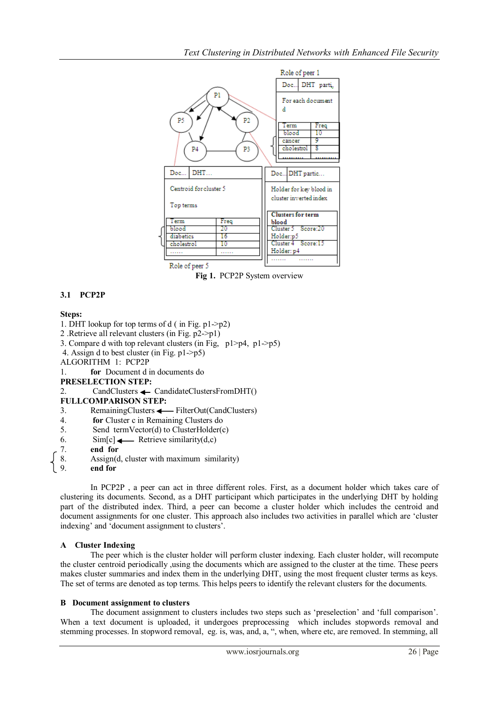

#### **Fig 1.** PCP2P System overview

# **3.1 PCP2P**

## **Steps:**

1. DHT lookup for top terms of d ( in Fig. p1->p2)

- 2 .Retrieve all relevant clusters (in Fig. p2->p1)
- 3. Compare d with top relevant clusters (in Fig, p1>p4, p1->p5)
- 4. Assign d to best cluster (in Fig. p1->p5)

ALGORITHM 1: PCP2P

1. **for** Document d in documents do

#### **PRESELECTION STEP:**

2. CandClusters <>
CandidateClustersFromDHT()

**FULLCOMPARISON STEP:**

- 3. RemainingClusters  $\longleftarrow$  FilterOut(CandClusters)
- 4. **for** Cluster c in Remaining Clusters do
- 5. Send termVector(d) to ClusterHolder(c)
- 6.  $\text{Sim}[c] \longrightarrow \text{Retrieve similarity}(d,c)$
- 7. **end for**
- 8. Assign(d, cluster with maximum similarity)<br>9 end for
- 9. **end for**

In PCP2P , a peer can act in three different roles. First, as a document holder which takes care of clustering its documents. Second, as a DHT participant which participates in the underlying DHT by holding part of the distributed index. Third, a peer can become a cluster holder which includes the centroid and document assignments for one cluster. This approach also includes two activities in parallel which are "cluster indexing' and 'document assignment to clusters'.

#### **A Cluster Indexing**

The peer which is the cluster holder will perform cluster indexing. Each cluster holder, will recompute the cluster centroid periodically ,using the documents which are assigned to the cluster at the time. These peers makes cluster summaries and index them in the underlying DHT, using the most frequent cluster terms as keys. The set of terms are denoted as top terms. This helps peers to identify the relevant clusters for the documents.

#### **B Document assignment to clusters**

The document assignment to clusters includes two steps such as 'preselection' and 'full comparison'. When a text document is uploaded, it undergoes preprocessing which includes stopwords removal and stemming processes. In stopword removal, eg. is, was, and, a, ", when, where etc, are removed. In stemming, all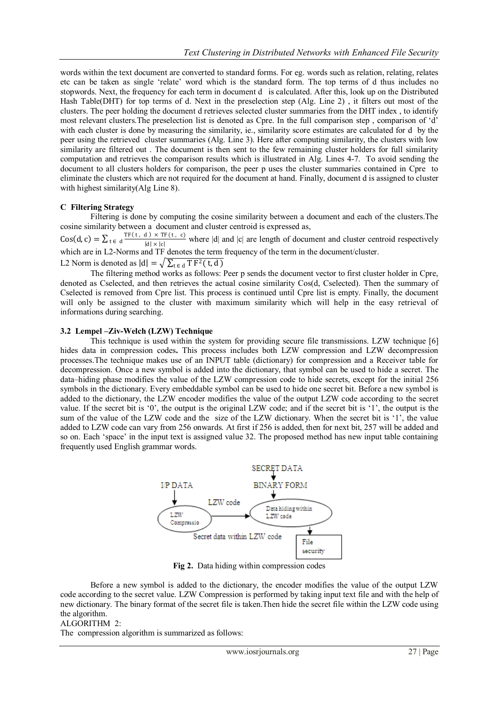words within the text document are converted to standard forms. For eg. words such as relation, relating, relates etc can be taken as single "relate" word which is the standard form. The top terms of d thus includes no stopwords. Next, the frequency for each term in document d is calculated. After this, look up on the Distributed Hash Table(DHT) for top terms of d. Next in the preselection step (Alg. Line 2) , it filters out most of the clusters. The peer holding the document d retrieves selected cluster summaries from the DHT index , to identify most relevant clusters. The preselection list is denoted as Cpre. In the full comparison step, comparison of 'd' with each cluster is done by measuring the similarity, ie., similarity score estimates are calculated for d by the peer using the retrieved cluster summaries (Alg. Line 3). Here after computing similarity, the clusters with low similarity are filtered out. The document is then sent to the few remaining cluster holders for full similarity computation and retrieves the comparison results which is illustrated in Alg. Lines 4-7. To avoid sending the document to all clusters holders for comparison, the peer p uses the cluster summaries contained in Cpre to eliminate the clusters which are not required for the document at hand. Finally, document d is assigned to cluster with highest similarity(Alg Line 8).

#### **C Filtering Strategy**

Filtering is done by computing the cosine similarity between a document and each of the clusters.The cosine similarity between a document and cluster centroid is expressed as,

 $\text{Cos}(d, c) = \sum_{t \in d} \frac{\text{TF}(t, d) \times \text{TF}(t, c)}{|d| \times |c|}$  where |d| and |c| are length of document and cluster centroid respectively  $|d| \times |c|$ which are in L2-Norms and TF denotes the term frequency of the term in the document/cluster.

L2 Norm is denoted as  $|d| = \sqrt{\sum_{t \in d} T F^2(t, d)}$ 

The filtering method works as follows: Peer p sends the document vector to first cluster holder in Cpre, denoted as Cselected, and then retrieves the actual cosine similarity Cos(d, Cselected). Then the summary of Cselected is removed from Cpre list. This process is continued until Cpre list is empty. Finally, the document will only be assigned to the cluster with maximum similarity which will help in the easy retrieval of informations during searching.

#### **3.2 Lempel –Ziv-Welch (LZW) Technique**

This technique is used within the system for providing secure file transmissions. LZW technique [6] hides data in compression codes**.** This process includes both LZW compression and LZW decompression processes.The technique makes use of an INPUT table (dictionary) for compression and a Receiver table for decompression. Once a new symbol is added into the dictionary, that symbol can be used to hide a secret. The data–hiding phase modifies the value of the LZW compression code to hide secrets, except for the initial 256 symbols in the dictionary. Every embeddable symbol can be used to hide one secret bit. Before a new symbol is added to the dictionary, the LZW encoder modifies the value of the output LZW code according to the secret value. If the secret bit is "0", the output is the original LZW code; and if the secret bit is "1", the output is the sum of the value of the LZW code and the size of the LZW dictionary. When the secret bit is '1', the value added to LZW code can vary from 256 onwards. At first if 256 is added, then for next bit, 257 will be added and so on. Each 'space' in the input text is assigned value 32. The proposed method has new input table containing frequently used English grammar words.



**Fig 2.** Data hiding within compression codes

Before a new symbol is added to the dictionary, the encoder modifies the value of the output LZW code according to the secret value. LZW Compression is performed by taking input text file and with the help of new dictionary. The binary format of the secret file is taken.Then hide the secret file within the LZW code using the algorithm.

#### ALGORITHM 2:

The compression algorithm is summarized as follows: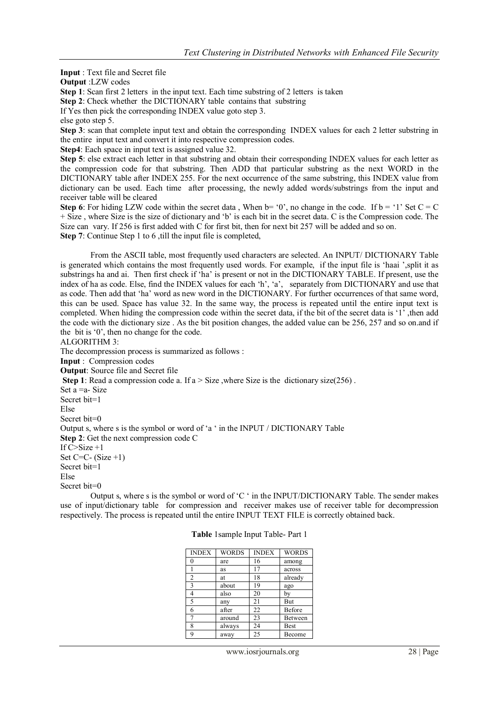**Input** : Text file and Secret file **Output** :LZW codes **Step 1**: Scan first 2 letters in the input text. Each time substring of 2 letters is taken **Step 2**: Check whether the DICTIONARY table contains that substring If Yes then pick the corresponding INDEX value goto step 3. else goto step 5. **Step 3**: scan that complete input text and obtain the corresponding INDEX values for each 2 letter substring in the entire input text and convert it into respective compression codes. **Step4**: Each space in input text is assigned value 32. **Step 5**: else extract each letter in that substring and obtain their corresponding INDEX values for each letter as the compression code for that substring. Then ADD that particular substring as the next WORD in the DICTIONARY table after INDEX 255. For the next occurrence of the same substring, this INDEX value from dictionary can be used. Each time after processing, the newly added words/substrings from the input and receiver table will be cleared **Step 6**: For hiding LZW code within the secret data, When  $b= '0'$ , no change in the code. If  $b = '1'$  Set  $C = C$ + Size , where Size is the size of dictionary and "b" is each bit in the secret data. C is the Compression code. The Size can vary. If 256 is first added with C for first bit, then for next bit 257 will be added and so on.

**Step 7**: Continue Step 1 to 6, till the input file is completed,

From the ASCII table, most frequently used characters are selected. An INPUT/ DICTIONARY Table is generated which contains the most frequently used words. For example, if the input file is 'haai ',split it as substrings ha and ai. Then first check if "ha" is present or not in the DICTIONARY TABLE. If present, use the index of ha as code. Else, find the INDEX values for each 'h', 'a', separately from DICTIONARY and use that as code. Then add that "ha" word as new word in the DICTIONARY. For further occurrences of that same word, this can be used. Space has value 32. In the same way, the process is repeated until the entire input text is completed. When hiding the compression code within the secret data, if the bit of the secret data is "1" ,then add the code with the dictionary size . As the bit position changes, the added value can be 256, 257 and so on.and if the bit is "0", then no change for the code.

## ALGORITHM 3:

The decompression process is summarized as follows : **Input** : Compression codes **Output**: Source file and Secret file **Step 1**: Read a compression code a. If  $a > Size$ , where Size is the dictionary size(256). Set a =a- Size Secret bit=1 Else Secret bit=0 Output s, where s is the symbol or word of "a " in the INPUT / DICTIONARY Table **Step 2**: Get the next compression code C If C>Size +1 Set  $C=C-$  (Size  $+1$ ) Secret bit=1 Else Secret bit=0

Output s, where s is the symbol or word of "C " in the INPUT/DICTIONARY Table. The sender makes use of input/dictionary table for compression and receiver makes use of receiver table for decompression respectively. The process is repeated until the entire INPUT TEXT FILE is correctly obtained back.

| <b>INDEX</b>   | <b>WORDS</b> | <b>INDEX</b> | <b>WORDS</b> |
|----------------|--------------|--------------|--------------|
| 0              | are          | 16           | among        |
|                | as           | 17           | across       |
| $\overline{2}$ | at           | 18           | already      |
| 3              | about        | 19           | ago          |
| 4              | also         | 20           | bv           |
| 5              | any          | 21           | But          |
| 6              | after        | 22           | Before       |
| $\overline{7}$ | around       | 23           | Between      |
| 8              | always       | 24           | Best         |
| 9              | away         | 25           | Become       |

**Table** 1sample Input Table- Part 1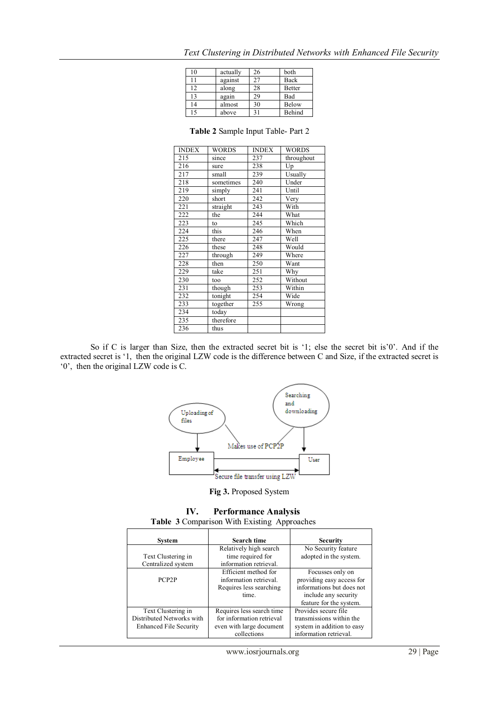| 10 | actually | 26 | both          |
|----|----------|----|---------------|
| 11 | against  | 27 | Back          |
| 12 | along    | 28 | <b>Better</b> |
| 13 | again    | 29 | Bad           |
| 14 | almost   | 30 | Below         |
| 15 | above    | 31 | Behind        |

|  |  |  | Text Clustering in Distributed Networks with Enhanced File Security |  |  |  |  |  |
|--|--|--|---------------------------------------------------------------------|--|--|--|--|--|
|--|--|--|---------------------------------------------------------------------|--|--|--|--|--|

| INDEX | WORDS     | INDEX | WORDS      |
|-------|-----------|-------|------------|
| 215   | since     | 237   | throughout |
| 216   | sure      | 238   | Up         |
| 217   | small     | 239   | Usually    |
| 218   | sometimes | 240   | Under      |
| 219   | simply    | 241   | Until      |
| 220   | short     | 242   | Very       |
| 221   | straight  | 243   | With       |
| 222   | the       | 244   | What       |
| 223   | to        | 245   | Which      |
| 224   | this      | 246   | When       |
| 225   | there     | 247   | Well       |
| 226   | these     | 248   | Would      |
| 227   | through   | 249   | Where      |
| 228   | then      | 250   | Want       |
| 229   | take      | 251   | Why        |
| 230   | too       | 252   | Without    |
| 231   | though    | 253   | Within     |
| 232   | tonight   | 254   | Wide       |
| 233   | together  | 255   | Wrong      |
| 234   | today     |       |            |
| 235   | therefore |       |            |
| 236   | thus      |       |            |

**Table 2** Sample Input Table- Part 2

So if C is larger than Size, then the extracted secret bit is '1; else the secret bit is'0'. And if the extracted secret is '1, then the original LZW code is the difference between C and Size, if the extracted secret is "0", then the original LZW code is C.



#### **Fig 3.** Proposed System

# **IV. Performance Analysis**

**Table 3** Comparison With Existing Approaches

| System                        | <b>Search time</b>        | <b>Security</b>            |
|-------------------------------|---------------------------|----------------------------|
|                               | Relatively high search    | No Security feature        |
| Text Clustering in            | time required for         | adopted in the system.     |
| Centralized system            | information retrieval.    |                            |
|                               | Efficient method for      | Focusses only on           |
| PCP <sub>2</sub> P            | information retrieval.    | providing easy access for  |
|                               | Requires less searching   | informations but does not  |
|                               | time.                     | include any security       |
|                               |                           | feature for the system.    |
| Text Clustering in            | Requires less search time | Provides secure file       |
| Distributed Networks with     | for information retrieval | transmissions within the   |
| <b>Enhanced File Security</b> | even with large document  | system in addition to easy |
|                               | collections               | information retrieval.     |